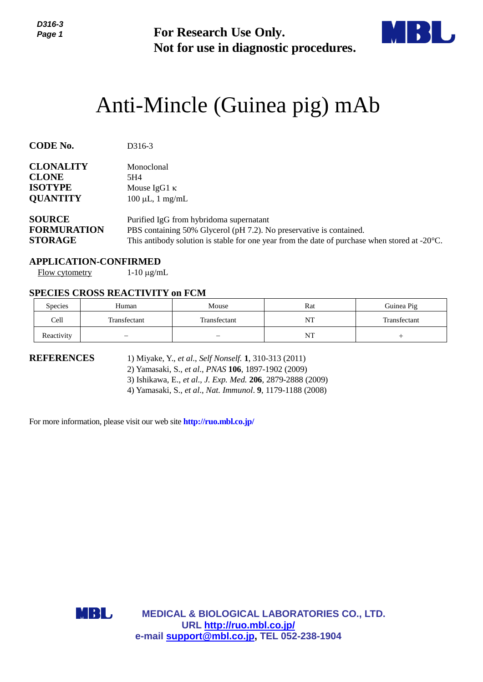

# Anti-Mincle (Guinea pig) mAb

| Page 1                                                                                                                              | <b>For Research Use Only.</b><br>Not for use in diagnostic procedures.       |                                                                                                                                                                                                                                            |     |              |  |  |
|-------------------------------------------------------------------------------------------------------------------------------------|------------------------------------------------------------------------------|--------------------------------------------------------------------------------------------------------------------------------------------------------------------------------------------------------------------------------------------|-----|--------------|--|--|
|                                                                                                                                     |                                                                              | Anti-Mincle (Guinea pig) mAb                                                                                                                                                                                                               |     |              |  |  |
| <b>CODE No.</b>                                                                                                                     | D316-3                                                                       |                                                                                                                                                                                                                                            |     |              |  |  |
| <b>CLONALITY</b><br>Monoclonal<br><b>CLONE</b><br>5H4<br><b>ISOTYPE</b><br>Mouse IgG1 κ<br><b>QUANTITY</b><br>$100 \mu L$ , 1 mg/mL |                                                                              |                                                                                                                                                                                                                                            |     |              |  |  |
| <b>SOURCE</b><br><b>FORMURATION</b><br><b>STORAGE</b>                                                                               |                                                                              | Purified IgG from hybridoma supernatant<br>PBS containing 50% Glycerol (pH 7.2). No preservative is contained.<br>This antibody solution is stable for one year from the date of purchase when stored at -20°C.                            |     |              |  |  |
| <b>Flow cytometry</b>                                                                                                               | <b>APPLICATION-CONFIRMED</b><br>$1-10 \mu g/mL$                              |                                                                                                                                                                                                                                            |     |              |  |  |
| Species                                                                                                                             | <b>SPECIES CROSS REACTIVITY on FCM</b><br>Human                              | Mouse                                                                                                                                                                                                                                      | Rat | Guinea Pig   |  |  |
| Cell                                                                                                                                | Transfectant                                                                 | Transfectant                                                                                                                                                                                                                               | NT  | Transfectant |  |  |
| Reactivity                                                                                                                          |                                                                              |                                                                                                                                                                                                                                            | NT  | $^{+}$       |  |  |
| <b>REFERENCES</b>                                                                                                                   | For more information, please visit our web site <b>http://ruo.mbl.co.jp/</b> | 1) Miyake, Y., et al., Self Nonself. 1, 310-313 (2011)<br>2) Yamasaki, S., et al., PNAS 106, 1897-1902 (2009)<br>3) Ishikawa, E., et al., J. Exp. Med. 206, 2879-2888 (2009)<br>4) Yamasaki, S., et al., Nat. Immunol. 9, 1179-1188 (2008) |     |              |  |  |
|                                                                                                                                     |                                                                              |                                                                                                                                                                                                                                            |     |              |  |  |
|                                                                                                                                     |                                                                              |                                                                                                                                                                                                                                            |     |              |  |  |
|                                                                                                                                     | MBL                                                                          | <b>MEDICAL &amp; BIOLOGICAL LABORATORIES CO., LTD.</b><br>URL http://ruo.mbl.co.jp/<br>e-mail support@mbl.co.jp, TEL 052-238-1904                                                                                                          |     |              |  |  |

#### **APPLICATION-CONFIRMED**

### **SPECIES CROSS REACTIVITY on FCM**

| <b>Species</b> | Human        | Mouse                    | Rat | Guinea Pig   |
|----------------|--------------|--------------------------|-----|--------------|
| Cell           | Transfectant | Transfectant             | NT  | Transfectant |
| Reactivity     |              | $\overline{\phantom{0}}$ | NT  |              |

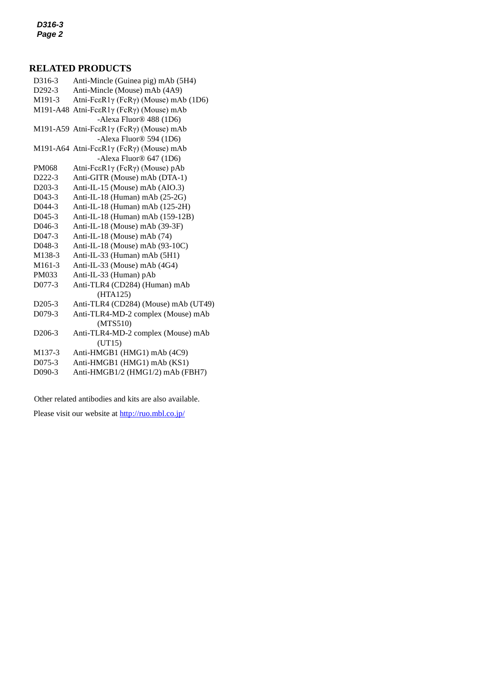#### **RELATED PRODUCTS**

*2* D292-3 [Anti-Mincle \(Mouse\) mAb](https://ruo.mbl.co.jp/dtl/A/D292-3/) (4A9) D316-3 Anti-Mincle (Guinea pig) mAb (5H4) M191-3 [Atni-FcεR1γ \(FcRγ\) \(Mouse\) mAb](https://ruo.mbl.co.jp/dtl/A/M191-3/) (1D6) M191-A48 [Atni-FcεR1γ \(FcRγ\) \(Mouse\) mAb](https://ruo.mbl.co.jp/dtl/A/M191-A48/) -Alexa Fluor® 488 (1D6) M191-A59 [Atni-FcεR1γ \(FcRγ\) \(Mouse\) mAb](https://ruo.mbl.co.jp/dtl/A/M191-A48/) -Alexa Fluor® 594 (1D6) M191-A64 [Atni-FcεR1γ \(FcRγ\) \(Mouse\) mAb](https://ruo.mbl.co.jp/dtl/A/M191-A48/) -Alexa Fluor® 647 (1D6) PM068 [Atni-FcεR1γ \(FcRγ\) \(Mouse\) pAb](https://ruo.mbl.co.jp/dtl/A/M191-A48/) D222-3 [Anti-GITR \(Mouse\) mAb](https://ruo.mbl.co.jp/dtl/A/D222-3/) (DTA-1) D203-3 [Anti-IL-15 \(Mouse\) mAb](https://ruo.mbl.co.jp/dtl/A/D203-3/) (AIO.3) D043-3 [Anti-IL-18 \(Human\) mAb](https://ruo.mbl.co.jp/dtl/A/D043-3/) (25-2G) D044-3 [Anti-IL-18 \(Human\) mAb](https://ruo.mbl.co.jp/dtl/A/D043-3/) (125-2H) D045-3 [Anti-IL-18 \(Human\) mAb](https://ruo.mbl.co.jp/dtl/A/D043-3/) (159-12B) D046-3 [Anti-IL-18 \(Mouse\) mAb](https://ruo.mbl.co.jp/dtl/A/D043-3/) (39-3F) D047-3 [Anti-IL-18 \(Mouse\) mAb](https://ruo.mbl.co.jp/dtl/A/D043-3/) (74) D048-3 [Anti-IL-18 \(Mouse\) mAb](https://ruo.mbl.co.jp/dtl/A/D043-3/) (93-10C) M138-3 [Anti-IL-33 \(Human\) mAb](https://ruo.mbl.co.jp/dtl/A/D043-3/) (5H1) M161-3 [Anti-IL-33 \(Mouse\) mAb](https://ruo.mbl.co.jp/dtl/A/D043-3/) (4G4) PM033 [Anti-IL-33 \(Human\) pAb](https://ruo.mbl.co.jp/dtl/A/D043-3/) D077-3 [Anti-TLR4 \(CD284\) \(Human\)](https://ruo.mbl.co.jp/dtl/A/D077-3/) mAb (HTA125) D205-3 [Anti-TLR4 \(CD284\) \(Mouse\) mAb](https://ruo.mbl.co.jp/dtl/A/D205-3/) (UT49) D079-3 [Anti-TLR4-MD-2 complex \(Mouse\) mAb](https://ruo.mbl.co.jp/dtl/A/D079-3/) (MTS510) D206-3 [Anti-TLR4-MD-2 complex \(Mouse\) mAb](https://ruo.mbl.co.jp/dtl/A/D079-3/) (UT15) M137-3 Anti-HMGB1 (HMG1) mAb (4C9) D075-3 Anti-HMGB1 (HMG1) mAb (KS1) D090-3 Anti-HMGB1/2 (HMG1/2) mAb (FBH7)

Other related antibodies and kits are also available.

Please visit our website at<http://ruo.mbl.co.jp/>